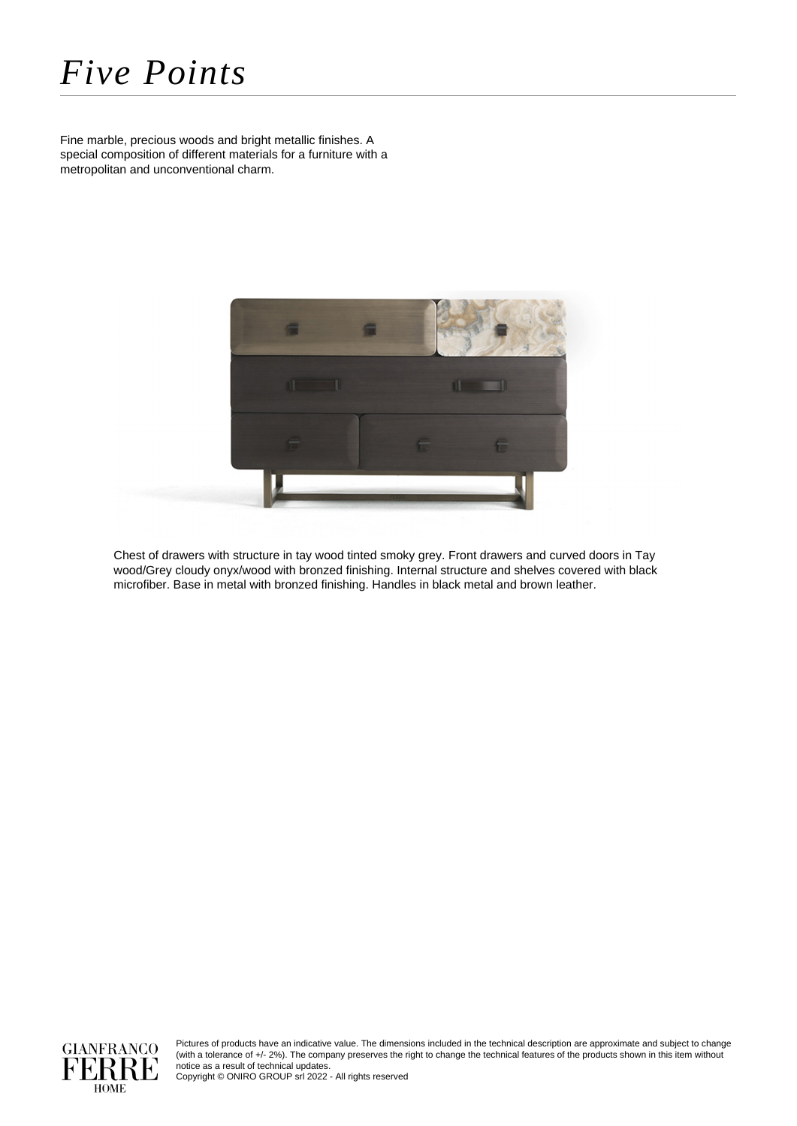## *Five Points*

Fine marble, precious woods and bright metallic finishes. A special composition of different materials for a furniture with a metropolitan and unconventional charm.



Chest of drawers with structure in tay wood tinted smoky grey. Front drawers and curved doors in Tay wood/Grey cloudy onyx/wood with bronzed finishing. Internal structure and shelves covered with black microfiber. Base in metal with bronzed finishing. Handles in black metal and brown leather.



Pictures of products have an indicative value. The dimensions included in the technical description are approximate and subject to change (with a tolerance of +/- 2%). The company preserves the right to change the technical features of the products shown in this item without notice as a result of technical updates.

Copyright © ONIRO GROUP srl 2022 - All rights reserved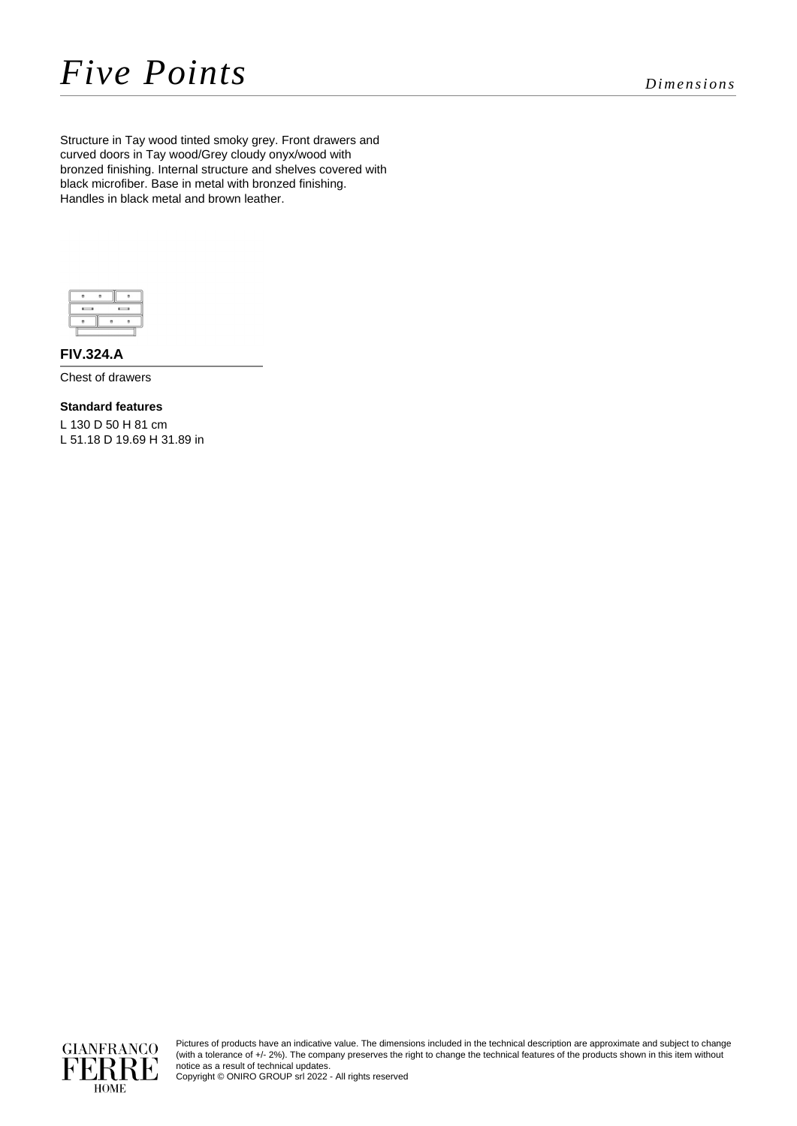Structure in Tay wood tinted smoky grey. Front drawers and curved doors in Tay wood/Grey cloudy onyx/wood with bronzed finishing. Internal structure and shelves covered with black microfiber. Base in metal with bronzed finishing. Handles in black metal and brown leather.



**FIV.324.A**

Chest of drawers

**Standard features** L 130 D 50 H 81 cm L 51.18 D 19.69 H 31.89 in



Pictures of products have an indicative value. The dimensions included in the technical description are approximate and subject to change (with a tolerance of +/- 2%). The company preserves the right to change the technical features of the products shown in this item without notice as a result of technical updates.